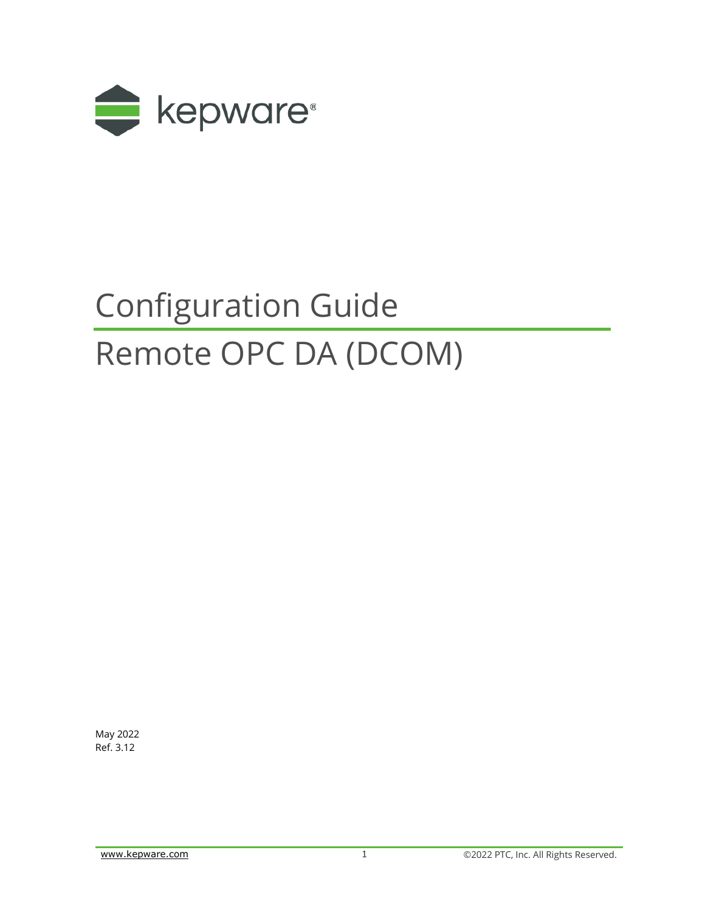

# Configuration Guide Remote OPC DA (DCOM)

May 2022 Ref. 3.12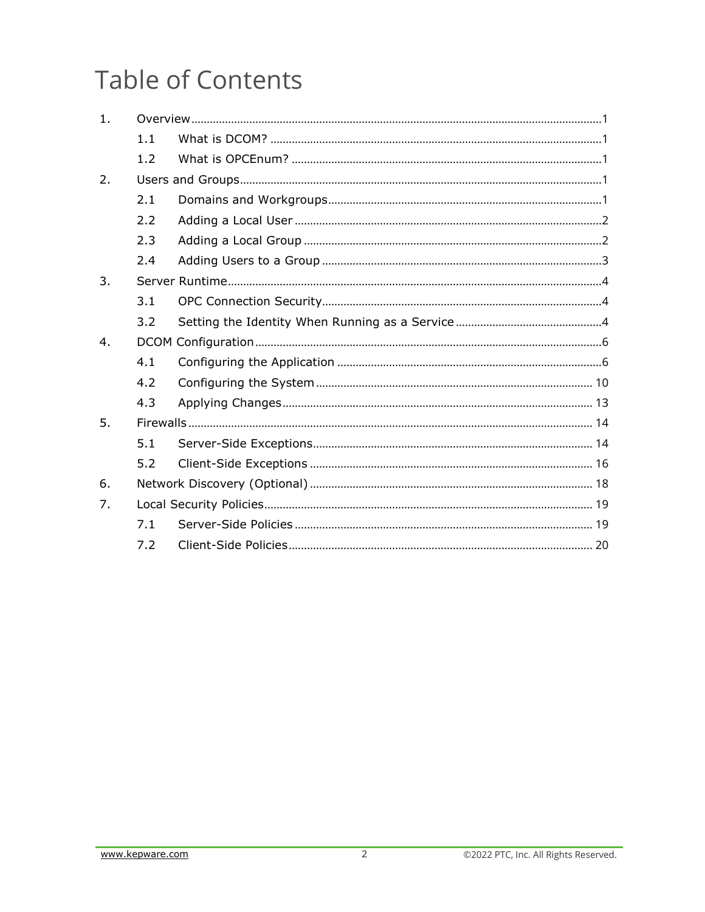## **Table of Contents**

| 1. |     |  |
|----|-----|--|
|    | 1.1 |  |
|    | 1.2 |  |
| 2. |     |  |
|    | 2.1 |  |
|    | 2.2 |  |
|    | 2.3 |  |
|    | 2.4 |  |
| 3. |     |  |
|    | 3.1 |  |
|    | 3.2 |  |
| 4. |     |  |
|    | 4.1 |  |
|    | 4.2 |  |
|    | 4.3 |  |
| 5. |     |  |
|    | 5.1 |  |
|    | 5.2 |  |
| 6. |     |  |
| 7. |     |  |
|    | 7.1 |  |
|    | 7.2 |  |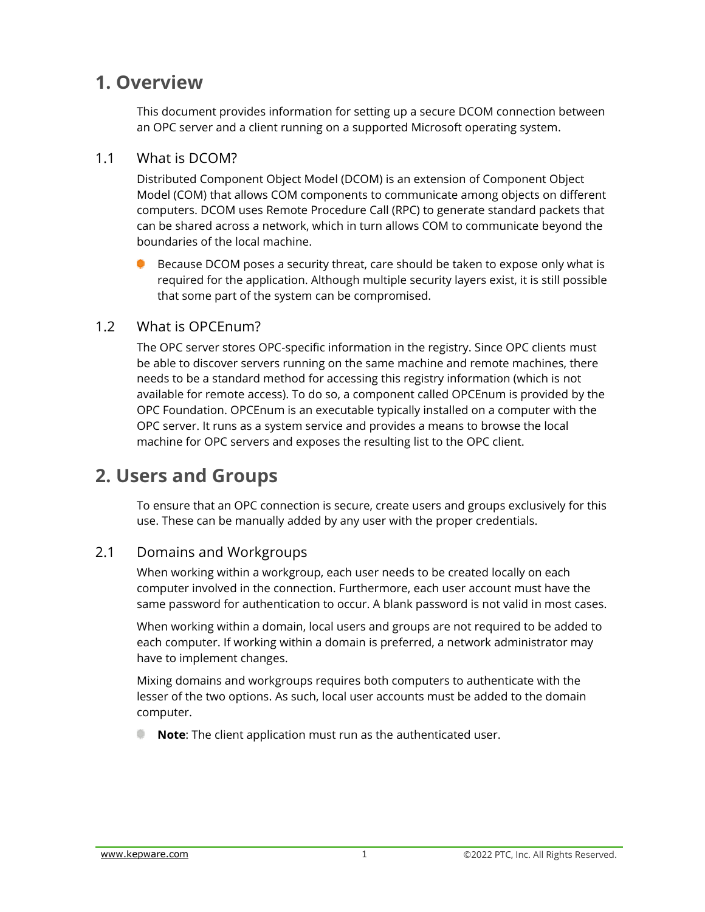### <span id="page-2-0"></span>**1. Overview**

This document provides information for setting up a secure DCOM connection between an OPC server and a client running on a supported Microsoft operating system.

#### <span id="page-2-1"></span>1.1 What is DCOM?

Distributed Component Object Model (DCOM) is an extension of Component Object Model (COM) that allows COM components to communicate among objects on different computers. DCOM uses Remote Procedure Call (RPC) to generate standard packets that can be shared across a network, which in turn allows COM to communicate beyond the boundaries of the local machine.

Because DCOM poses a security threat, care should be taken to expose only what is required for the application. Although multiple security layers exist, it is still possible that some part of the system can be compromised.

#### <span id="page-2-2"></span>1.2 What is OPCEnum?

The OPC server stores OPC-specific information in the registry. Since OPC clients must be able to discover servers running on the same machine and remote machines, there needs to be a standard method for accessing this registry information (which is not available for remote access). To do so, a component called OPCEnum is provided by the OPC Foundation. OPCEnum is an executable typically installed on a computer with the OPC server. It runs as a system service and provides a means to browse the local machine for OPC servers and exposes the resulting list to the OPC client.

## <span id="page-2-3"></span>**2. Users and Groups**

To ensure that an OPC connection is secure, create users and groups exclusively for this use. These can be manually added by any user with the proper credentials.

#### <span id="page-2-4"></span>2.1 Domains and Workgroups

When working within a workgroup, each user needs to be created locally on each computer involved in the connection. Furthermore, each user account must have the same password for authentication to occur. A blank password is not valid in most cases.

When working within a domain, local users and groups are not required to be added to each computer. If working within a domain is preferred, a network administrator may have to implement changes.

Mixing domains and workgroups requires both computers to authenticate with the lesser of the two options. As such, local user accounts must be added to the domain computer.

<span id="page-2-5"></span>**Note**: The client application must run as the authenticated user.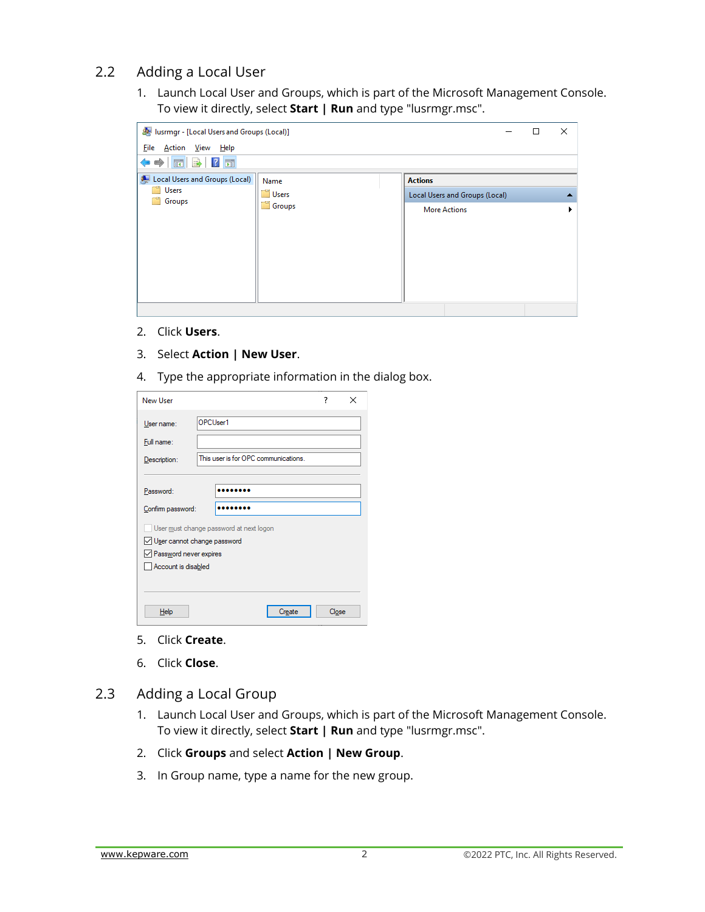#### 2.2 Adding a Local User

1. Launch Local User and Groups, which is part of the Microsoft Management Console. To view it directly, select **Start | Run** and type "lusrmgr.msc".

| lusrmgr - [Local Users and Groups (Local)]               |                         |                                                                         |  |  |  |  |
|----------------------------------------------------------|-------------------------|-------------------------------------------------------------------------|--|--|--|--|
| <u>File</u><br>Action <u>V</u> iew Help<br>同B ?同<br>⊜    |                         |                                                                         |  |  |  |  |
| Local Users and Groups (Local)<br><b>Users</b><br>Groups | Name<br>Users<br>Groups | <b>Actions</b><br>Local Users and Groups (Local)<br><b>More Actions</b> |  |  |  |  |
|                                                          |                         |                                                                         |  |  |  |  |

- 2. Click **Users**.
- 3. Select **Action | New User**.
- 4. Type the appropriate information in the dialog box.

| <b>New User</b>                  |                                         | 7     | × |
|----------------------------------|-----------------------------------------|-------|---|
| User name:                       | OPCUser1                                |       |   |
| Full name:                       |                                         |       |   |
| Description:                     | This user is for OPC communications.    |       |   |
|                                  |                                         |       |   |
| Password:                        |                                         |       |   |
| Confirm password:                |                                         |       |   |
|                                  | User must change password at next logon |       |   |
| √ User cannot change password    |                                         |       |   |
| $\sqrt{}$ Password never expires |                                         |       |   |
| Account is disabled              |                                         |       |   |
|                                  |                                         |       |   |
|                                  |                                         |       |   |
| Help                             | Create                                  | Close |   |

- 5. Click **Create**.
- 6. Click **Close**.
- <span id="page-3-0"></span>2.3 Adding a Local Group
	- 1. Launch Local User and Groups, which is part of the Microsoft Management Console. To view it directly, select **Start | Run** and type "lusrmgr.msc".
	- 2. Click **Groups** and select **Action | New Group**.
	- 3. In Group name, type a name for the new group.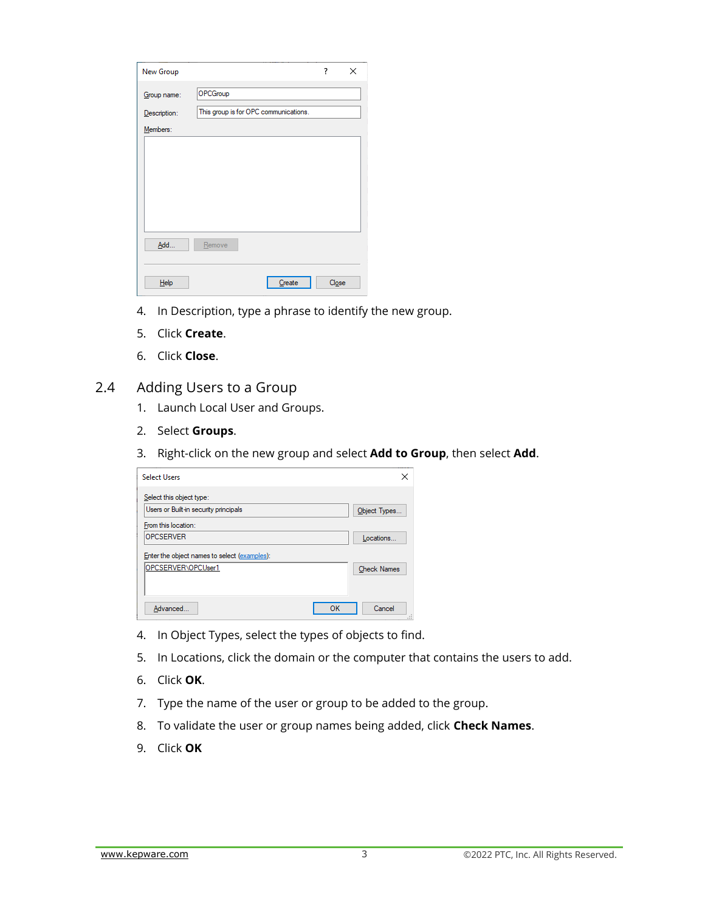| New Group    |                                       | ?     | × |
|--------------|---------------------------------------|-------|---|
| Group name:  | OPCGroup                              |       |   |
| Description: | This group is for OPC communications. |       |   |
| Members:     |                                       |       |   |
|              |                                       |       |   |
|              |                                       |       |   |
|              |                                       |       |   |
|              |                                       |       |   |
|              |                                       |       |   |
|              |                                       |       |   |
| Add          | Remove                                |       |   |
|              |                                       |       |   |
| Help         | Create                                | Close |   |
|              |                                       |       |   |

- 4. In Description, type a phrase to identify the new group.
- 5. Click **Create**.
- 6. Click **Close**.
- <span id="page-4-0"></span>2.4 Adding Users to a Group
	- 1. Launch Local User and Groups.
	- 2. Select **Groups**.
	- 3. Right-click on the new group and select **Add to Group**, then select **Add**.

| <b>Select Users</b>                                               |    | ×                  |
|-------------------------------------------------------------------|----|--------------------|
| Select this object type:<br>Users or Built-in security principals |    | Object Types       |
| From this location:<br><b>OPCSERVER</b>                           |    | Locations          |
| Enter the object names to select (examples):                      |    |                    |
| OPCSERVER\OPCUser1                                                |    | <b>Check Names</b> |
| Advanced                                                          | OK | Cancel             |

- 4. In Object Types, select the types of objects to find.
- 5. In Locations, click the domain or the computer that contains the users to add.
- 6. Click **OK**.
- 7. Type the name of the user or group to be added to the group.
- 8. To validate the user or group names being added, click **Check Names**.
- 9. Click **OK**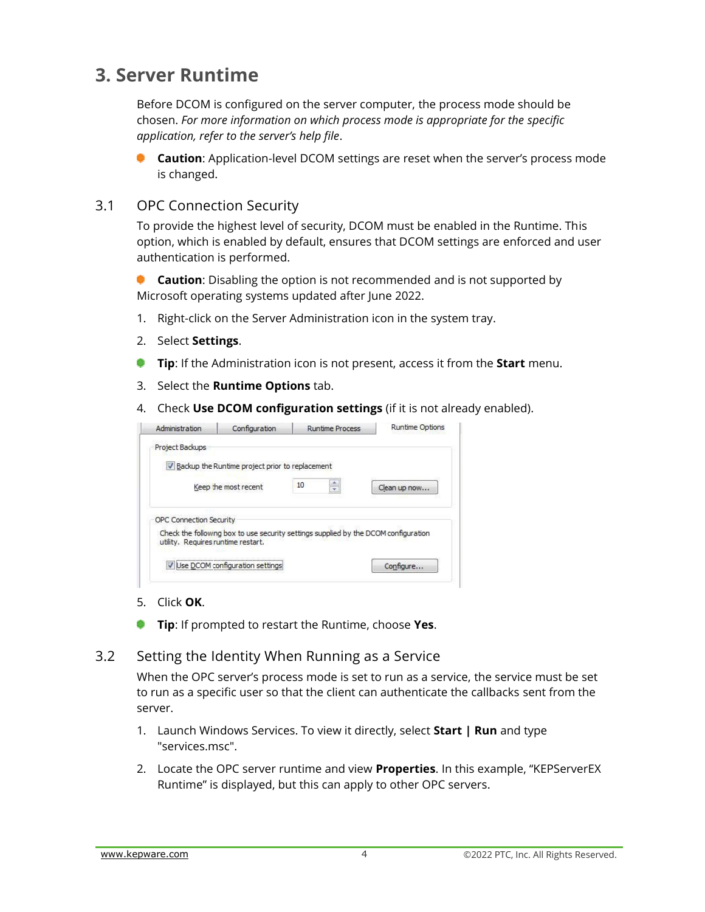## <span id="page-5-0"></span>**3. Server Runtime**

Before DCOM is configured on the server computer, the process mode should be chosen. *For more information on which process mode is appropriate for the specific application, refer to the server's help file*.

**Caution**: Application-level DCOM settings are reset when the server's process mode is changed.

#### <span id="page-5-1"></span>3.1 OPC Connection Security

To provide the highest level of security, DCOM must be enabled in the Runtime. This option, which is enabled by default, ensures that DCOM settings are enforced and user authentication is performed.

**Caution**: Disabling the option is not recommended and is not supported by ۰ Microsoft operating systems updated after June 2022.

- 1. Right-click on the Server Administration icon in the system tray.
- 2. Select **Settings**.
- **Tip**: If the Administration icon is not present, access it from the **Start** menu.
- 3. Select the **Runtime Options** tab.
- 4. Check **Use DCOM configuration settings** (if it is not already enabled).

|                                    |                      | Clean up now                                                                                                                                 |
|------------------------------------|----------------------|----------------------------------------------------------------------------------------------------------------------------------------------|
|                                    |                      |                                                                                                                                              |
| OPC Connection Security            |                      |                                                                                                                                              |
| utility. Requires runtime restart. |                      |                                                                                                                                              |
| Use DCOM configuration settings    |                      | Configure                                                                                                                                    |
|                                    | Keep the most recent | Backup the Runtime project prior to replacement<br>10<br>Check the following box to use security settings supplied by the DCOM configuration |

- 5. Click **OK**.
- ۵ **Tip**: If prompted to restart the Runtime, choose **Yes**.

#### <span id="page-5-2"></span>3.2 Setting the Identity When Running as a Service

When the OPC server's process mode is set to run as a service, the service must be set to run as a specific user so that the client can authenticate the callbacks sent from the server.

- 1. Launch Windows Services. To view it directly, select **Start | Run** and type "services.msc".
- 2. Locate the OPC server runtime and view **Properties**. In this example, "KEPServerEX Runtime" is displayed, but this can apply to other OPC servers.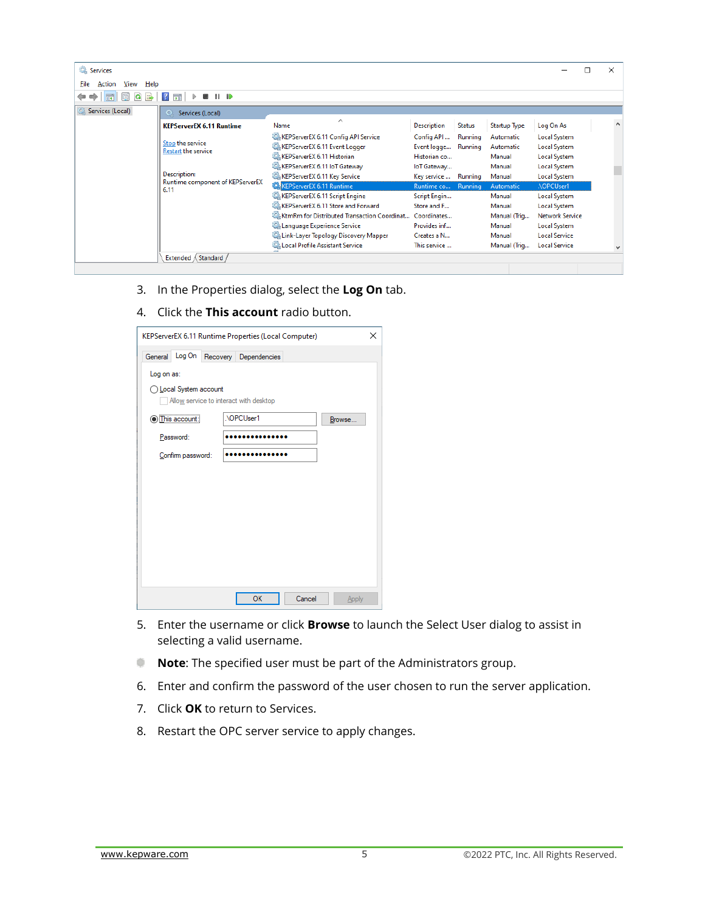| Services                       |                                                                                                            |                                                                                                                                                                                                                                           |                                                                                                        |                    |                                                                      |                                                                                                                                             | × |
|--------------------------------|------------------------------------------------------------------------------------------------------------|-------------------------------------------------------------------------------------------------------------------------------------------------------------------------------------------------------------------------------------------|--------------------------------------------------------------------------------------------------------|--------------------|----------------------------------------------------------------------|---------------------------------------------------------------------------------------------------------------------------------------------|---|
| Action<br>Help<br>File<br>View |                                                                                                            |                                                                                                                                                                                                                                           |                                                                                                        |                    |                                                                      |                                                                                                                                             |   |
| 丽<br>(= C)                     | 雨<br>$\blacksquare$<br>17<br>D.                                                                            |                                                                                                                                                                                                                                           |                                                                                                        |                    |                                                                      |                                                                                                                                             |   |
| Services (Local)               | Services (Local)                                                                                           |                                                                                                                                                                                                                                           |                                                                                                        |                    |                                                                      |                                                                                                                                             |   |
|                                | <b>KEPServerEX 6.11 Runtime</b>                                                                            | $\wedge$<br>Name                                                                                                                                                                                                                          | <b>Description</b>                                                                                     | <b>Status</b>      | Startup Type                                                         | Log On As                                                                                                                                   |   |
|                                | Stop the service<br><b>Restart the service</b><br>Description:<br>Runtime component of KEPServerEX<br>6.11 | KEPServerEX 6.11 Config API Service<br>KEPServerEX 6.11 Event Logger<br>KEPServerEX 6.11 Historian<br>KEPServerEX 6.11 IoT Gateway<br>KEPServerEX 6.11 Key Service<br><b>KEPServerEX 6.11 Runtime</b>                                     | Config API<br>Event logge Running<br>Historian co<br>loT Gateway<br>Key service  Running<br>Runtime co | Running<br>Running | Automatic<br>Automatic<br>Manual<br>Manual<br>Manual<br>Automatic    | <b>Local System</b><br><b>Local System</b><br><b>Local System</b><br>Local System<br>Local System<br>.\OPCUser1                             |   |
|                                | Extended / Standard                                                                                        | KEPServerEX 6.11 Script Engine<br>KEPServerEX 6.11 Store and Forward<br>C. KtmRm for Distributed Transaction Coordinat<br>C. Language Experience Service<br>C. Link-Layer Topology Discovery Mapper<br>C. Local Profile Assistant Service | Script Engin<br>Store and F<br>Coordinates<br>Provides inf<br>Creates a N<br>This service              |                    | Manual<br>Manual<br>Manual (Triq<br>Manual<br>Manual<br>Manual (Trig | <b>Local System</b><br><b>Local System</b><br><b>Network Service</b><br><b>Local System</b><br><b>Local Service</b><br><b>Local Service</b> |   |
|                                |                                                                                                            |                                                                                                                                                                                                                                           |                                                                                                        |                    |                                                                      |                                                                                                                                             |   |

- 3. In the Properties dialog, select the **Log On** tab.
- 4. Click the **This account** radio button.

| KEPServerEX 6.11 Runtime Properties (Local Computer)<br>× |  |                                        |        |        |  |  |  |  |
|-----------------------------------------------------------|--|----------------------------------------|--------|--------|--|--|--|--|
| General Log On Recovery Dependencies                      |  |                                        |        |        |  |  |  |  |
| Log on as:                                                |  |                                        |        |        |  |  |  |  |
| ◯ Local System account                                    |  | Allow service to interact with desktop |        |        |  |  |  |  |
| <b>O</b> This account:                                    |  | .\OPCUser1                             |        | Browse |  |  |  |  |
| Password:                                                 |  |                                        |        |        |  |  |  |  |
| Confirm password:                                         |  |                                        |        |        |  |  |  |  |
|                                                           |  |                                        |        |        |  |  |  |  |
|                                                           |  |                                        |        |        |  |  |  |  |
|                                                           |  |                                        |        |        |  |  |  |  |
|                                                           |  |                                        |        |        |  |  |  |  |
|                                                           |  |                                        |        |        |  |  |  |  |
|                                                           |  |                                        |        |        |  |  |  |  |
|                                                           |  |                                        |        |        |  |  |  |  |
|                                                           |  | OK                                     | Cancel | Apply  |  |  |  |  |

- 5. Enter the username or click **Browse** to launch the Select User dialog to assist in selecting a valid username.
- **Note:** The specified user must be part of the Administrators group.
- 6. Enter and confirm the password of the user chosen to run the server application.
- 7. Click **OK** to return to Services.
- 8. Restart the OPC server service to apply changes.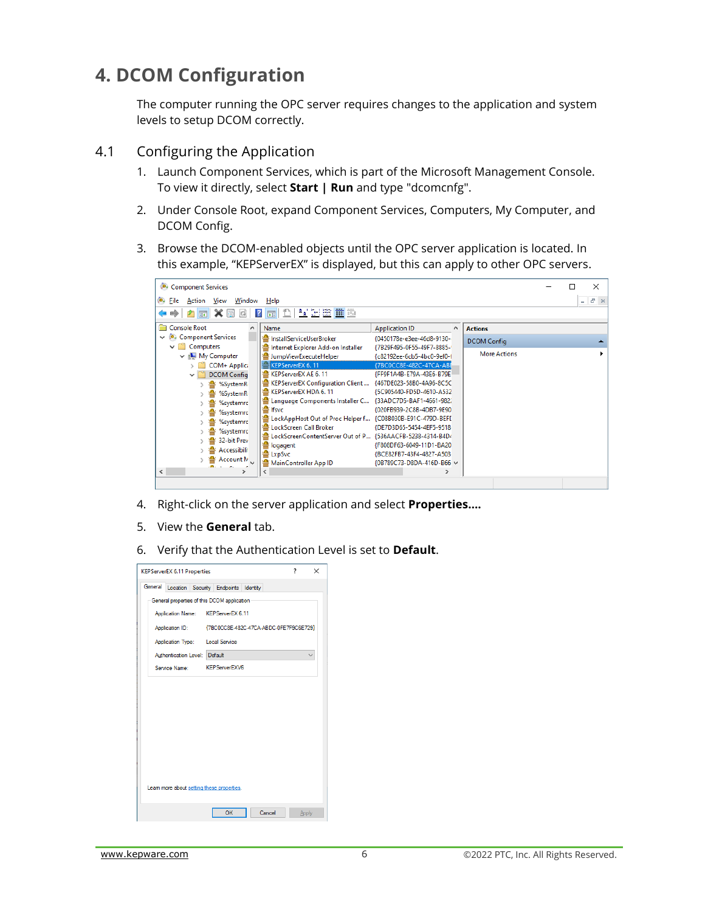## <span id="page-7-0"></span>**4. DCOM Configuration**

The computer running the OPC server requires changes to the application and system levels to setup DCOM correctly.

#### <span id="page-7-1"></span>4.1 Configuring the Application

- 1. Launch Component Services, which is part of the Microsoft Management Console. To view it directly, select **Start | Run** and type "dcomcnfg".
- 2. Under Console Root, expand Component Services, Computers, My Computer, and DCOM Config.
- 3. Browse the DCOM-enabled objects until the OPC server application is located. In this example, "KEPServerEX" is displayed, but this can apply to other OPC servers.



- 4. Right-click on the server application and select **Properties….**
- 5. View the **General** tab.
- 6. Verify that the Authentication Level is set to **Default**.

| <b>KEPServerEX 6.11 Properties</b>          |                                        |        | 7 | ×     |  |  |
|---------------------------------------------|----------------------------------------|--------|---|-------|--|--|
| General                                     | Location Security Endpoints Identity   |        |   |       |  |  |
| General properties of this DCOM application |                                        |        |   |       |  |  |
| Application Name: KEPServerEX 6.11          |                                        |        |   |       |  |  |
| Application ID:                             | {7BC0CC8E-482C-47CA-ABDC-0FE7F9C6E729} |        |   |       |  |  |
| Application Type: Local Service             |                                        |        |   |       |  |  |
| Authentication Level: Default               |                                        |        |   |       |  |  |
| Service Name: KEPServerEXV6                 |                                        |        |   |       |  |  |
| Learn more about setting these properties.  |                                        |        |   |       |  |  |
|                                             | OK                                     | Cancel |   | Apply |  |  |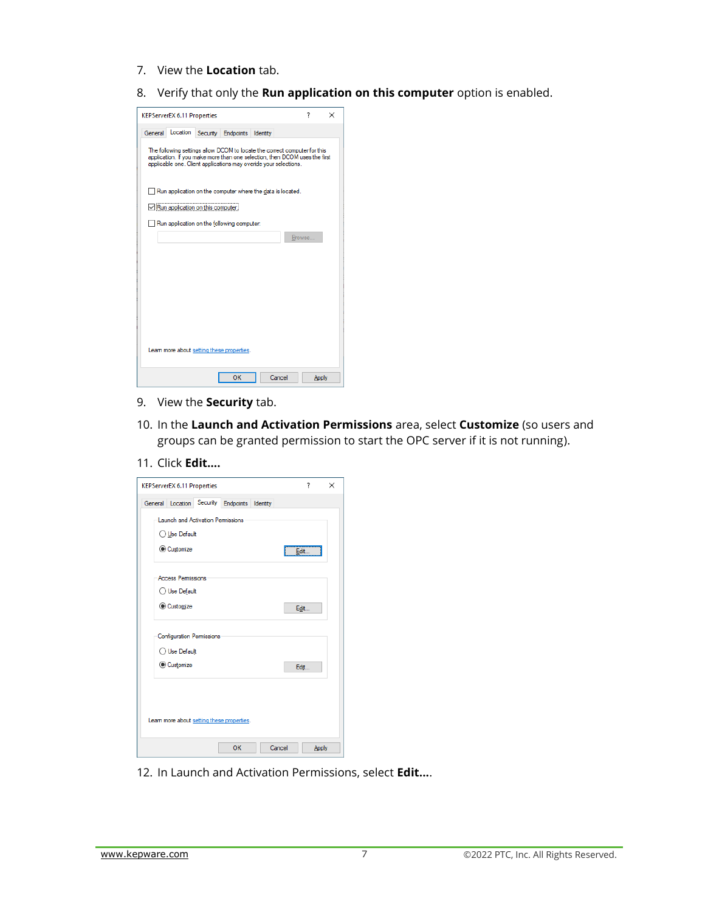- 7. View the **Location** tab.
- 8. Verify that only the **Run application on this computer** option is enabled.

| <b>KEPServerEX 6.11 Properties</b>                                                                                                                                                                                          | 7      | $\times$ |  |  |  |  |  |
|-----------------------------------------------------------------------------------------------------------------------------------------------------------------------------------------------------------------------------|--------|----------|--|--|--|--|--|
| Location<br>General<br>Security<br>Endpoints<br>Identity                                                                                                                                                                    |        |          |  |  |  |  |  |
| The following settings allow DCOM to locate the correct computer for this<br>application. If you make more than one selection, then DCOM uses the first<br>applicable one. Client applications may overide your selections. |        |          |  |  |  |  |  |
| Run application on the computer where the data is located.                                                                                                                                                                  |        |          |  |  |  |  |  |
| Run application on this computer.                                                                                                                                                                                           |        |          |  |  |  |  |  |
| Run application on the following computer:                                                                                                                                                                                  |        |          |  |  |  |  |  |
|                                                                                                                                                                                                                             | Browse |          |  |  |  |  |  |
|                                                                                                                                                                                                                             |        |          |  |  |  |  |  |
|                                                                                                                                                                                                                             |        |          |  |  |  |  |  |
|                                                                                                                                                                                                                             |        |          |  |  |  |  |  |
|                                                                                                                                                                                                                             |        |          |  |  |  |  |  |
|                                                                                                                                                                                                                             |        |          |  |  |  |  |  |
|                                                                                                                                                                                                                             |        |          |  |  |  |  |  |
| Leam more about setting these properties.                                                                                                                                                                                   |        |          |  |  |  |  |  |
| OK<br>Cancel                                                                                                                                                                                                                |        | Apply    |  |  |  |  |  |

- 9. View the **Security** tab.
- 10. In the **Launch and Activation Permissions** area, select **Customize** (so users and groups can be granted permission to start the OPC server if it is not running).
- 11. Click **Edit….**

| <b>KEPServerEX 6.11 Properties</b>                 | 7     | $\times$ |
|----------------------------------------------------|-------|----------|
| General Location Security<br>Endpoints<br>Identity |       |          |
| <b>Launch and Activation Permissions</b>           |       |          |
| ◯ Use Default                                      |       |          |
| Customize                                          | Edit  |          |
| <b>Access Permissions</b>                          |       |          |
| ◯ Use Default                                      |       |          |
| Customize                                          | Edit  |          |
| <b>Configuration Permissions</b>                   |       |          |
| ◯ Use Default                                      |       |          |
| Customize                                          | Edit  |          |
| Leam more about setting these properties.          |       |          |
| Cancel<br>OK                                       | Apply |          |

12. In Launch and Activation Permissions, select **Edit...**.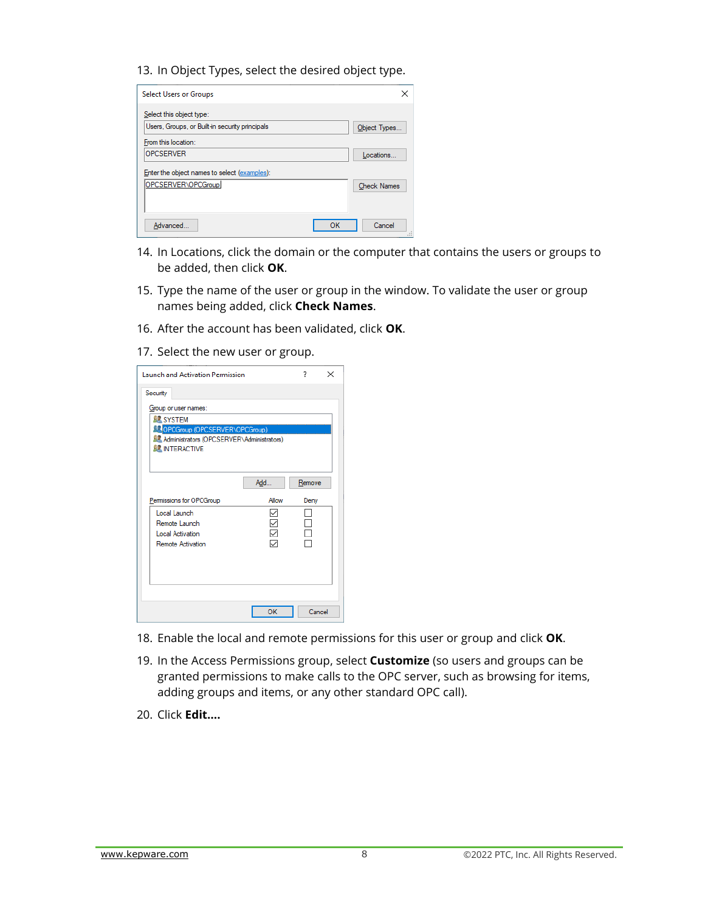13. In Object Types, select the desired object type.

| <b>Select Users or Groups</b>                                              |    |                    |
|----------------------------------------------------------------------------|----|--------------------|
| Select this object type:<br>Users, Groups, or Built-in security principals |    | Object Types       |
| From this location:<br><b>OPCSERVER</b>                                    |    | Locations          |
| Enter the object names to select (examples):                               |    |                    |
| OPCSERVER\OPCGroup                                                         |    | <b>Check Names</b> |
| Advanced                                                                   | OK | Cancel             |

- 14. In Locations, click the domain or the computer that contains the users or groups to be added, then click **OK**.
- 15. Type the name of the user or group in the window. To validate the user or group names being added, click **Check Names**.
- 16. After the account has been validated, click **OK**.
- 17. Select the new user or group.

| <b>Launch and Activation Permission</b><br>7<br>×                                           |              |        |  |  |  |  |
|---------------------------------------------------------------------------------------------|--------------|--------|--|--|--|--|
| Security                                                                                    |              |        |  |  |  |  |
| Group or user names:                                                                        |              |        |  |  |  |  |
| <b>SE SYSTEM</b>                                                                            |              |        |  |  |  |  |
| <b>OPCGroup (OPCSERVER\OPCGroup)</b><br><b>SZ</b> Administrators (OPCSERVER\Administrators) |              |        |  |  |  |  |
| <b>BZ INTERACTIVE</b>                                                                       |              |        |  |  |  |  |
|                                                                                             |              |        |  |  |  |  |
|                                                                                             |              |        |  |  |  |  |
|                                                                                             | Add          | Remove |  |  |  |  |
| Permissions for OPCGroup                                                                    | Allow        | Deny   |  |  |  |  |
| Local Launch                                                                                | $\checkmark$ |        |  |  |  |  |
| Remote Launch                                                                               | ✓            |        |  |  |  |  |
| <b>Local Activation</b>                                                                     | ✓            |        |  |  |  |  |
| <b>Remote Activation</b>                                                                    |              |        |  |  |  |  |
|                                                                                             |              |        |  |  |  |  |
|                                                                                             |              |        |  |  |  |  |
|                                                                                             |              |        |  |  |  |  |
|                                                                                             |              |        |  |  |  |  |
|                                                                                             | OK           | Cancel |  |  |  |  |

- 18. Enable the local and remote permissions for this user or group and click **OK**.
- 19. In the Access Permissions group, select **Customize** (so users and groups can be granted permissions to make calls to the OPC server, such as browsing for items, adding groups and items, or any other standard OPC call).
- 20. Click **Edit….**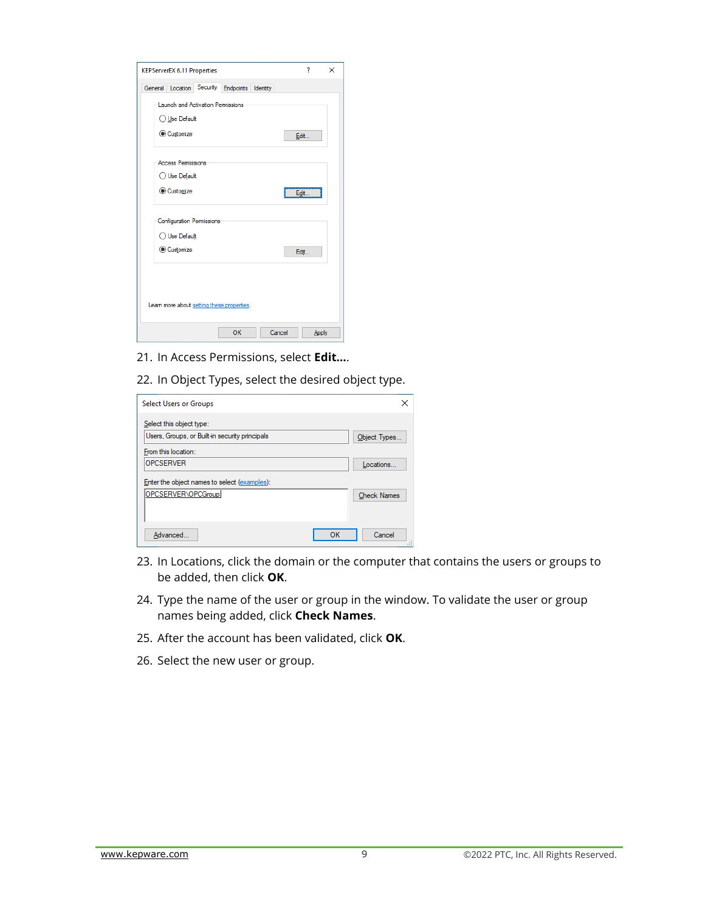| <b>KEPServerEX 6.11 Properties</b>           |    |        | 7     | $\times$ |
|----------------------------------------------|----|--------|-------|----------|
| General Location Security Endpoints Identity |    |        |       |          |
| Launch and Activation Permissions            |    |        |       |          |
| ◯ Use Default                                |    |        |       |          |
| Customize                                    |    |        | Edit  |          |
| <b>Access Permissions</b>                    |    |        |       |          |
| ◯ Use Default                                |    |        |       |          |
| Customize                                    |    |        | Edit  |          |
| <b>Configuration Permissions</b>             |    |        |       |          |
| ◯ Use Default                                |    |        |       |          |
| Customize                                    |    |        | Edit  |          |
|                                              |    |        |       |          |
|                                              |    |        |       |          |
| Learn more about setting these properties.   |    |        |       |          |
|                                              | OK | Cancel | Apply |          |

21. In Access Permissions, select **Edit…**.

22. In Object Types, select the desired object type.

| <b>Select Users or Groups</b>                                              |    |                    |
|----------------------------------------------------------------------------|----|--------------------|
| Select this object type:<br>Users, Groups, or Built-in security principals |    | Object Types       |
| From this location:<br><b>OPCSERVER</b>                                    |    | Locations          |
| Enter the object names to select (examples):                               |    |                    |
| OPCSERVER\OPCGroup                                                         |    | <b>Check Names</b> |
| Advanced                                                                   | OK | Cancel             |

- 23. In Locations, click the domain or the computer that contains the users or groups to be added, then click **OK**.
- 24. Type the name of the user or group in the window. To validate the user or group names being added, click **Check Names**.
- 25. After the account has been validated, click **OK**.
- 26. Select the new user or group.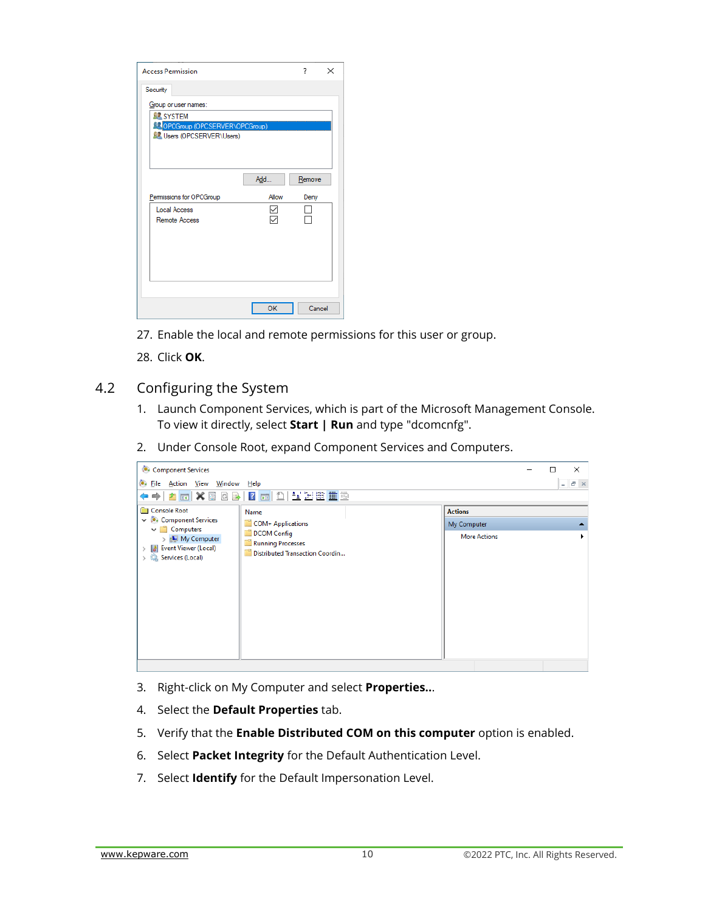| <b>Access Permission</b>                                                                                                           |              | ?              | × |
|------------------------------------------------------------------------------------------------------------------------------------|--------------|----------------|---|
| Security<br>Group or user names:<br><b>SE SYSTEM</b><br><b>COPCGroup (OPCSERVER\OPCGroup)</b><br><b>SP</b> Users (OPCSERVER\Users) |              |                |   |
| Permissions for OPCGroup                                                                                                           | Add<br>Allow | Remove<br>Deny |   |
| <b>Local Access</b><br>Remote Access                                                                                               |              |                |   |
|                                                                                                                                    | OK           | Cancel         |   |

- 27. Enable the local and remote permissions for this user or group.
- 28. Click **OK**.

#### <span id="page-11-0"></span>4.2 Configuring the System

- 1. Launch Component Services, which is part of the Microsoft Management Console. To view it directly, select **Start | Run** and type "dcomcnfg".
- 2. Under Console Root, expand Component Services and Computers.



- 3. Right-click on My Computer and select **Properties..**.
- 4. Select the **Default Properties** tab.
- 5. Verify that the **Enable Distributed COM on this computer** option is enabled.
- 6. Select **Packet Integrity** for the Default Authentication Level.
- 7. Select **Identify** for the Default Impersonation Level.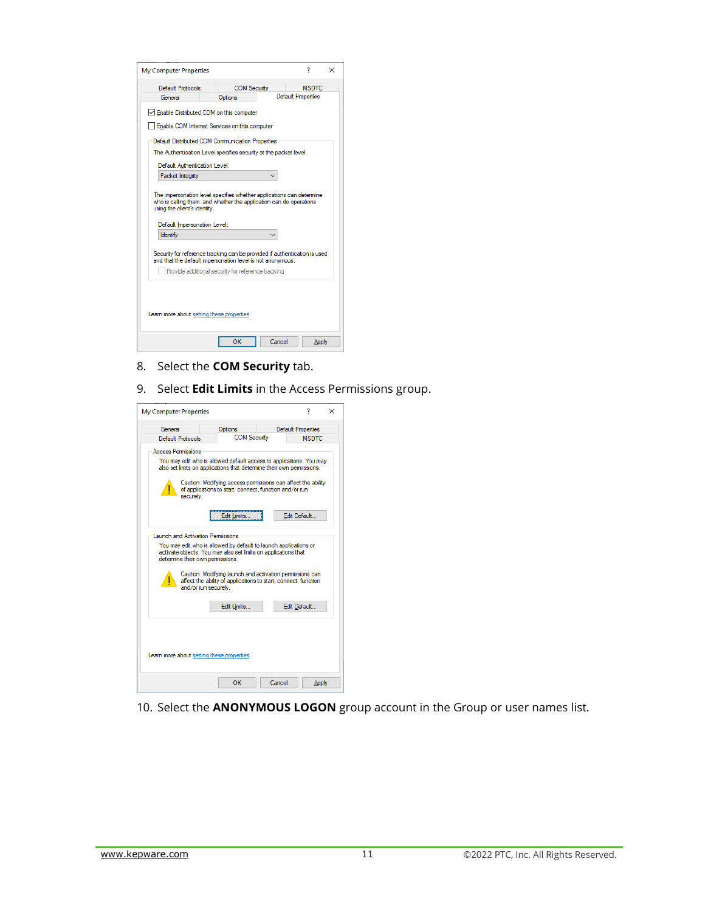| My Computer Properties                                                                                                                                                     |                                                    |  |                           | 7            | × |
|----------------------------------------------------------------------------------------------------------------------------------------------------------------------------|----------------------------------------------------|--|---------------------------|--------------|---|
| Default Protocols                                                                                                                                                          | <b>COM Security</b>                                |  |                           | <b>MSDTC</b> |   |
| General                                                                                                                                                                    | Options                                            |  | <b>Default Properties</b> |              |   |
| Enable Distributed COM on this computer                                                                                                                                    |                                                    |  |                           |              |   |
| Enable COM Internet Services on this computer                                                                                                                              |                                                    |  |                           |              |   |
| Default Distributed COM Communication Properties                                                                                                                           |                                                    |  |                           |              |   |
| The Authentication Level specifies security at the packet level.                                                                                                           |                                                    |  |                           |              |   |
| Default Authentication Level:                                                                                                                                              |                                                    |  |                           |              |   |
| Packet Integrity                                                                                                                                                           |                                                    |  |                           |              |   |
| The impersonation level specifies whether applications can determine<br>who is calling them, and whether the application can do operations<br>using the client's identity. |                                                    |  |                           |              |   |
| Default Impersonation Level:                                                                                                                                               |                                                    |  |                           |              |   |
| <b>Identify</b>                                                                                                                                                            |                                                    |  |                           |              |   |
| Security for reference tracking can be provided if authentication is used<br>and that the default impersonation level is not anonymous.                                    |                                                    |  |                           |              |   |
|                                                                                                                                                                            | Provide additional security for reference tracking |  |                           |              |   |
| Learn more about setting these properties.                                                                                                                                 |                                                    |  |                           |              |   |

- 8. Select the **COM Security** tab.
- 9. Select **Edit Limits** in the Access Permissions group.



10. Select the **ANONYMOUS LOGON** group account in the Group or user names list.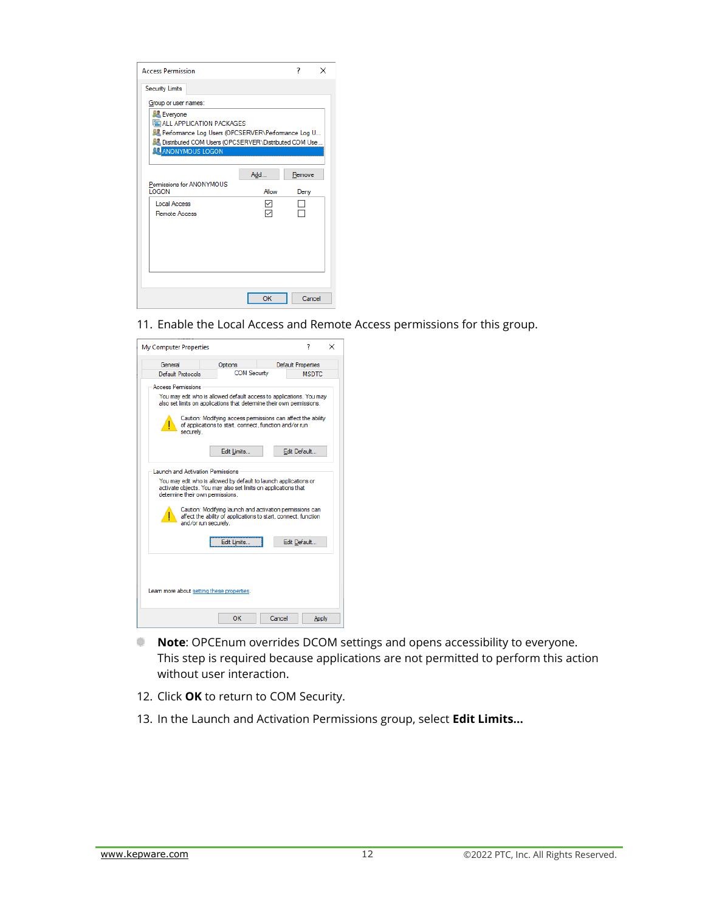| <b>Access Permission</b>                                                                    |       | 7      | $\times$ |
|---------------------------------------------------------------------------------------------|-------|--------|----------|
| Security Limits                                                                             |       |        |          |
| Group or user names:                                                                        |       |        |          |
| Everyone                                                                                    |       |        |          |
| <b>EM ALL APPLICATION PACKAGES</b><br>Be Performance Log Users (OPCSERVER\Performance Log U |       |        |          |
| <b>BL</b> Distributed COM Users (OPCSERVER\Distributed COM Use                              |       |        |          |
| <b>TRANONYMOUS LOGON</b>                                                                    |       |        |          |
|                                                                                             |       |        |          |
|                                                                                             | Add   | Remove |          |
| Permissions for ANONYMOUS<br><b>LOGON</b>                                                   | Allow | Deny   |          |
| Local Access                                                                                | ✓     |        |          |
| Remote Access                                                                               |       |        |          |
|                                                                                             |       |        |          |
|                                                                                             |       |        |          |
|                                                                                             |       |        |          |
|                                                                                             |       |        |          |
|                                                                                             |       |        |          |
|                                                                                             |       |        |          |
|                                                                                             | OK    | Cancel |          |

11. Enable the Local Access and Remote Access permissions for this group.

| My Computer Properties                                                                                                                                                                                                                     |                                                                                                                                           |  | 7                         | × |  |  |
|--------------------------------------------------------------------------------------------------------------------------------------------------------------------------------------------------------------------------------------------|-------------------------------------------------------------------------------------------------------------------------------------------|--|---------------------------|---|--|--|
| General                                                                                                                                                                                                                                    | Options                                                                                                                                   |  | <b>Default Properties</b> |   |  |  |
| Default Protocols                                                                                                                                                                                                                          | <b>COM Security</b>                                                                                                                       |  | <b>MSDTC</b>              |   |  |  |
| <b>Access Permissions</b>                                                                                                                                                                                                                  |                                                                                                                                           |  |                           |   |  |  |
| You may edit who is allowed default access to applications. You may<br>also set limits on applications that determine their own permissions.                                                                                               |                                                                                                                                           |  |                           |   |  |  |
| ŗ<br>securely.                                                                                                                                                                                                                             | Caution: Modifying access permissions can affect the ability<br>of applications to start, connect, function and/or run                    |  |                           |   |  |  |
|                                                                                                                                                                                                                                            | Edit Limits                                                                                                                               |  | Edit Default              |   |  |  |
| <b>Launch and Activation Permissions</b><br>You may edit who is allowed by default to launch applications or<br>activate objects. You may also set limits on applications that<br>determine their own permissions.<br>and/or run securely. | Caution: Modifving launch and activation permissions can<br>affect the ability of applications to start, connect, function<br>Edit Limits |  | Edit Default              |   |  |  |
| Leam more about setting these properties.<br>ОΚ<br>Cancel<br>Apply                                                                                                                                                                         |                                                                                                                                           |  |                           |   |  |  |
|                                                                                                                                                                                                                                            |                                                                                                                                           |  |                           |   |  |  |

- **Note:** OPCEnum overrides DCOM settings and opens accessibility to everyone. This step is required because applications are not permitted to perform this action without user interaction.
- 12. Click **OK** to return to COM Security.
- 13. In the Launch and Activation Permissions group, select **Edit Limits...**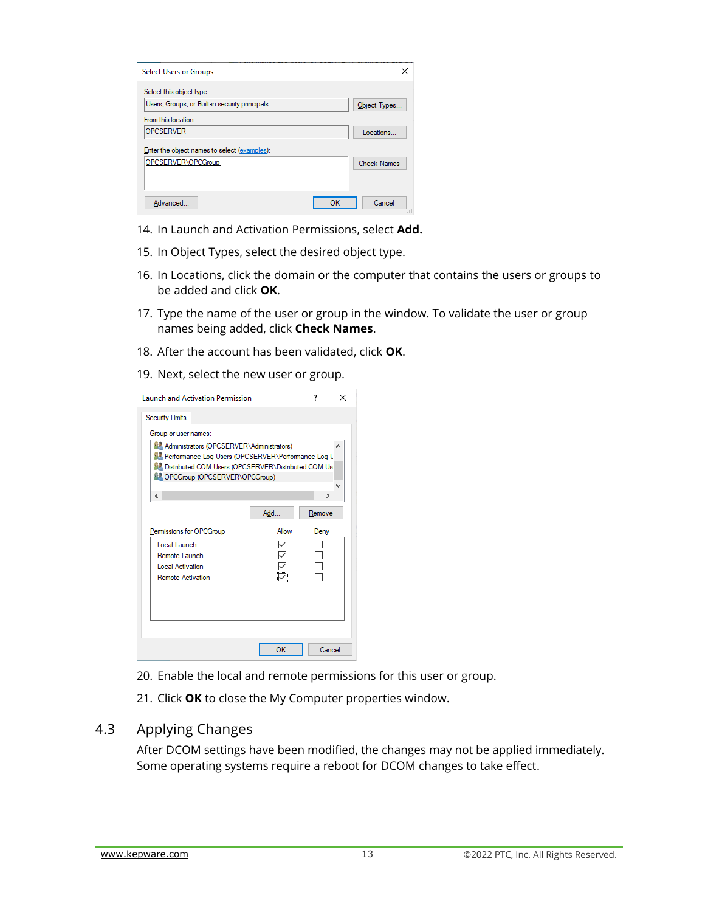| <b>Select Users or Groups</b>                  |    | ×                  |
|------------------------------------------------|----|--------------------|
| Select this object type:                       |    |                    |
| Users, Groups, or Built-in security principals |    | Object Types       |
| From this location:                            |    |                    |
| <b>OPCSERVER</b>                               |    | Locations          |
| Enter the object names to select (examples):   |    |                    |
| OPCSERVER\OPCGroup                             |    | <b>Check Names</b> |
|                                                |    |                    |
| Advanced                                       | OK | Cancel<br>u        |

- 14. In Launch and Activation Permissions, select **Add.**
- 15. In Object Types, select the desired object type.
- 16. In Locations, click the domain or the computer that contains the users or groups to be added and click **OK**.
- 17. Type the name of the user or group in the window. To validate the user or group names being added, click **Check Names**.
- 18. After the account has been validated, click **OK**.
- 19. Next, select the new user or group.

| <b>Launch and Activation Permission</b>                                                             |       | 7             | $\times$ |
|-----------------------------------------------------------------------------------------------------|-------|---------------|----------|
| <b>Security Limits</b>                                                                              |       |               |          |
| Group or user names:                                                                                |       |               |          |
| 显 Administrators (OPCSERVER\Administrators)<br>显 Performance Log Users (OPCSERVER\Performance Log L |       |               |          |
| <b>SZ</b> Distributed COM Users (OPCSERVER\Distributed COM Us                                       |       |               |          |
| <b>SE OPCGroup (OPCSERVER\OPCGroup)</b>                                                             |       |               |          |
| $\overline{\phantom{a}}$                                                                            |       | $\rightarrow$ |          |
|                                                                                                     | Add   | Remove        |          |
| Permissions for OPCGroup                                                                            | Allow | Deny          |          |
| Local Launch                                                                                        |       |               |          |
| Remote Launch                                                                                       |       |               |          |
| Local Activation<br>Remote Activation                                                               |       |               |          |
|                                                                                                     |       |               |          |
|                                                                                                     |       |               |          |
|                                                                                                     |       |               |          |
|                                                                                                     |       |               |          |
|                                                                                                     |       |               |          |
|                                                                                                     | OK    | Cancel        |          |

- 20. Enable the local and remote permissions for this user or group.
- 21. Click **OK** to close the My Computer properties window.

#### <span id="page-14-0"></span>4.3 Applying Changes

<span id="page-14-1"></span>After DCOM settings have been modified, the changes may not be applied immediately. Some operating systems require a reboot for DCOM changes to take effect.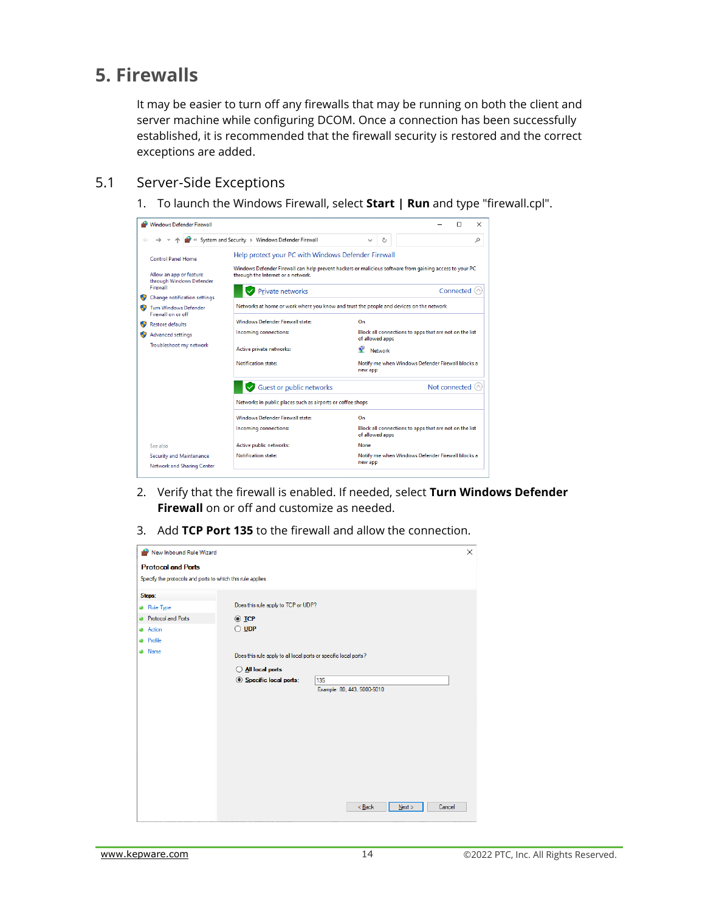## **5. Firewalls**

It may be easier to turn off any firewalls that may be running on both the client and server machine while configuring DCOM. Once a connection has been successfully established, it is recommended that the firewall security is restored and the correct exceptions are added.

#### <span id="page-15-0"></span>5.1 Server-Side Exceptions

1. To launch the Windows Firewall, select **Start | Run** and type "firewall.cpl".



- 2. Verify that the firewall is enabled. If needed, select **Turn Windows Defender Firewall** on or off and customize as needed.
- 3. Add **TCP Port 135** to the firewall and allow the connection.

| New Inbound Rule Wizard                                     |                                                                  |                             | X |  |  |
|-------------------------------------------------------------|------------------------------------------------------------------|-----------------------------|---|--|--|
| <b>Protocol and Ports</b>                                   |                                                                  |                             |   |  |  |
| Specify the protocols and ports to which this rule applies. |                                                                  |                             |   |  |  |
| Steps:                                                      |                                                                  |                             |   |  |  |
| <b>a</b> Rule Type                                          | Does this rule apply to TCP or UDP?                              |                             |   |  |  |
| <b>Protocol and Ports</b>                                   | $\odot$ TCP                                                      |                             |   |  |  |
| Action<br>۵                                                 | $\bigcirc$ UDP                                                   |                             |   |  |  |
| Profile                                                     |                                                                  |                             |   |  |  |
| <b>a</b> Name                                               | Does this rule apply to all local ports or specific local ports? |                             |   |  |  |
|                                                             | O All local ports                                                |                             |   |  |  |
|                                                             | Specific local ports:                                            | 135                         |   |  |  |
|                                                             |                                                                  | Example: 80, 443, 5000-5010 |   |  |  |
|                                                             |                                                                  |                             |   |  |  |
|                                                             |                                                                  |                             |   |  |  |
|                                                             |                                                                  |                             |   |  |  |
|                                                             |                                                                  |                             |   |  |  |
|                                                             |                                                                  |                             |   |  |  |
|                                                             |                                                                  |                             |   |  |  |
|                                                             |                                                                  |                             |   |  |  |
|                                                             |                                                                  |                             |   |  |  |
|                                                             |                                                                  |                             |   |  |  |
|                                                             |                                                                  | Cancel<br>$Back$<br>Next    |   |  |  |
|                                                             |                                                                  |                             |   |  |  |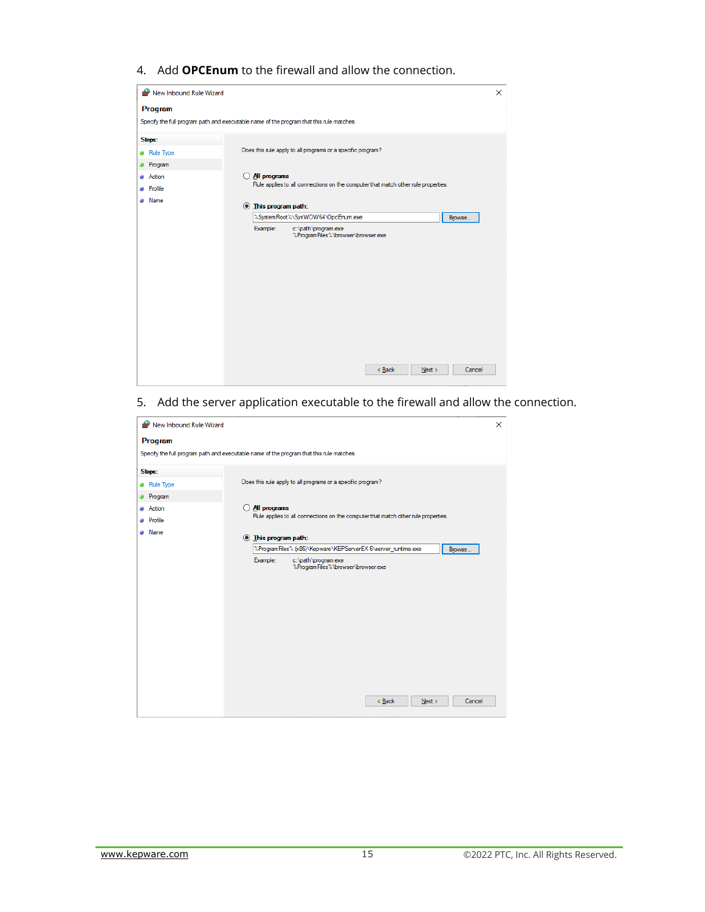4. Add **OPCEnum** to the firewall and allow the connection.

| New Inbound Rule Wizard                                                                  |   |                           |                                                                                   |          |      |        | $\times$ |
|------------------------------------------------------------------------------------------|---|---------------------------|-----------------------------------------------------------------------------------|----------|------|--------|----------|
| Program                                                                                  |   |                           |                                                                                   |          |      |        |          |
| Specify the full program path and executable name of the program that this rule matches. |   |                           |                                                                                   |          |      |        |          |
| Steps:                                                                                   |   |                           |                                                                                   |          |      |        |          |
| <b>Rule Type</b>                                                                         |   |                           | Does this rule apply to all programs or a specific program?                       |          |      |        |          |
| Program                                                                                  |   |                           |                                                                                   |          |      |        |          |
| Action                                                                                   | Ω | All programs              |                                                                                   |          |      |        |          |
| <b>Profile</b>                                                                           |   |                           | Rule applies to all connections on the computer that match other rule properties. |          |      |        |          |
| • Name                                                                                   |   | <b>Ihis program path:</b> |                                                                                   |          |      |        |          |
|                                                                                          |   |                           | %SystemRoot%\SysWOW64\OpcEnum.exe                                                 |          |      | Browse |          |
|                                                                                          |   | Example:                  | c:\path\program.exe<br>%ProgramFiles%\browser\browser.exe                         |          |      |        |          |
|                                                                                          |   |                           |                                                                                   |          |      |        |          |
|                                                                                          |   |                           |                                                                                   |          |      |        |          |
|                                                                                          |   |                           |                                                                                   |          |      |        |          |
|                                                                                          |   |                           |                                                                                   |          |      |        |          |
|                                                                                          |   |                           |                                                                                   |          |      |        |          |
|                                                                                          |   |                           |                                                                                   |          |      |        |          |
|                                                                                          |   |                           |                                                                                   |          |      |        |          |
|                                                                                          |   |                           |                                                                                   |          |      |        |          |
|                                                                                          |   |                           |                                                                                   |          |      |        |          |
|                                                                                          |   |                           |                                                                                   |          |      |        |          |
|                                                                                          |   |                           |                                                                                   | $<$ Back | Next | Cancel |          |
|                                                                                          |   |                           |                                                                                   |          |      |        |          |

5. Add the server application executable to the firewall and allow the connection.

<span id="page-16-0"></span>

| New Inbound Rule Wizard<br>× |                                                                         |   |                                                                                                   |  |  |
|------------------------------|-------------------------------------------------------------------------|---|---------------------------------------------------------------------------------------------------|--|--|
|                              | Program                                                                 |   |                                                                                                   |  |  |
|                              |                                                                         |   | Specify the full program path and executable name of the program that this rule matches.          |  |  |
|                              | Steps:                                                                  |   |                                                                                                   |  |  |
|                              | Rule Type                                                               |   | Does this rule apply to all programs or a specific program?                                       |  |  |
|                              | <b>Program</b>                                                          |   |                                                                                                   |  |  |
|                              | Action                                                                  | Ω | All programs<br>Rule applies to all connections on the computer that match other rule properties. |  |  |
|                              | <b>Profile</b>                                                          |   |                                                                                                   |  |  |
|                              | <b>Name</b>                                                             |   | <b>Ihis program path:</b>                                                                         |  |  |
|                              | %ProgramFiles% (x86)\Kepware\KEPServerEX 6\server_runtime.exe<br>Browse |   |                                                                                                   |  |  |
|                              |                                                                         |   | Example:<br>c:\path\program.exe                                                                   |  |  |
|                              |                                                                         |   | %ProgramFiles%\browser\browser.exe                                                                |  |  |
|                              |                                                                         |   |                                                                                                   |  |  |
|                              |                                                                         |   |                                                                                                   |  |  |
|                              |                                                                         |   |                                                                                                   |  |  |
|                              |                                                                         |   |                                                                                                   |  |  |
|                              |                                                                         |   |                                                                                                   |  |  |
|                              |                                                                         |   |                                                                                                   |  |  |
|                              |                                                                         |   |                                                                                                   |  |  |
|                              |                                                                         |   |                                                                                                   |  |  |
|                              |                                                                         |   |                                                                                                   |  |  |
|                              |                                                                         |   | $<$ Back<br>Cancel<br>Next                                                                        |  |  |
|                              |                                                                         |   |                                                                                                   |  |  |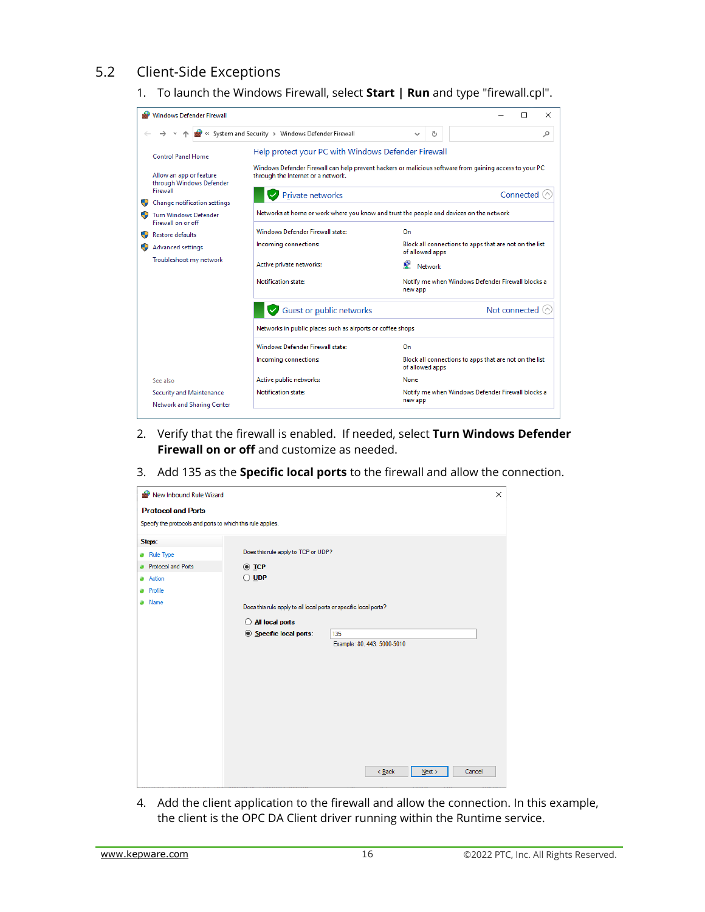#### 5.2 Client-Side Exceptions

1. To launch the Windows Firewall, select **Start | Run** and type "firewall.cpl".



- 2. Verify that the firewall is enabled. If needed, select **Turn Windows Defender Firewall on or off** and customize as needed.
- 3. Add 135 as the **Specific local ports** to the firewall and allow the connection.

|   | X<br>New Inbound Rule Wizard                                |                                                                  |                             |                |  |  |  |  |  |  |
|---|-------------------------------------------------------------|------------------------------------------------------------------|-----------------------------|----------------|--|--|--|--|--|--|
|   | <b>Protocol and Ports</b>                                   |                                                                  |                             |                |  |  |  |  |  |  |
|   | Specify the protocols and ports to which this rule applies. |                                                                  |                             |                |  |  |  |  |  |  |
|   | Steps:                                                      |                                                                  |                             |                |  |  |  |  |  |  |
|   | <b>a</b> Rule Type                                          | Does this rule apply to TCP or UDP?                              |                             |                |  |  |  |  |  |  |
| ۵ | Protocol and Ports                                          | $\odot$ TCP                                                      |                             |                |  |  |  |  |  |  |
|   | <b>Action</b>                                               | $\bigcirc$ udp                                                   |                             |                |  |  |  |  |  |  |
|   | <b>Profile</b>                                              |                                                                  |                             |                |  |  |  |  |  |  |
|   | <b>a</b> Name                                               | Does this rule apply to all local ports or specific local ports? |                             |                |  |  |  |  |  |  |
|   |                                                             | All local ports                                                  |                             |                |  |  |  |  |  |  |
|   |                                                             | Specific local ports:                                            | 135                         |                |  |  |  |  |  |  |
|   |                                                             |                                                                  | Example: 80, 443, 5000-5010 |                |  |  |  |  |  |  |
|   |                                                             |                                                                  |                             |                |  |  |  |  |  |  |
|   |                                                             |                                                                  |                             |                |  |  |  |  |  |  |
|   |                                                             |                                                                  |                             |                |  |  |  |  |  |  |
|   |                                                             |                                                                  |                             |                |  |  |  |  |  |  |
|   |                                                             |                                                                  |                             |                |  |  |  |  |  |  |
|   |                                                             |                                                                  |                             |                |  |  |  |  |  |  |
|   |                                                             |                                                                  |                             |                |  |  |  |  |  |  |
|   |                                                             |                                                                  |                             |                |  |  |  |  |  |  |
|   |                                                             |                                                                  |                             |                |  |  |  |  |  |  |
|   |                                                             |                                                                  | $Back$                      | Cancel<br>Next |  |  |  |  |  |  |
|   |                                                             |                                                                  |                             |                |  |  |  |  |  |  |

4. Add the client application to the firewall and allow the connection. In this example, the client is the OPC DA Client driver running within the Runtime service.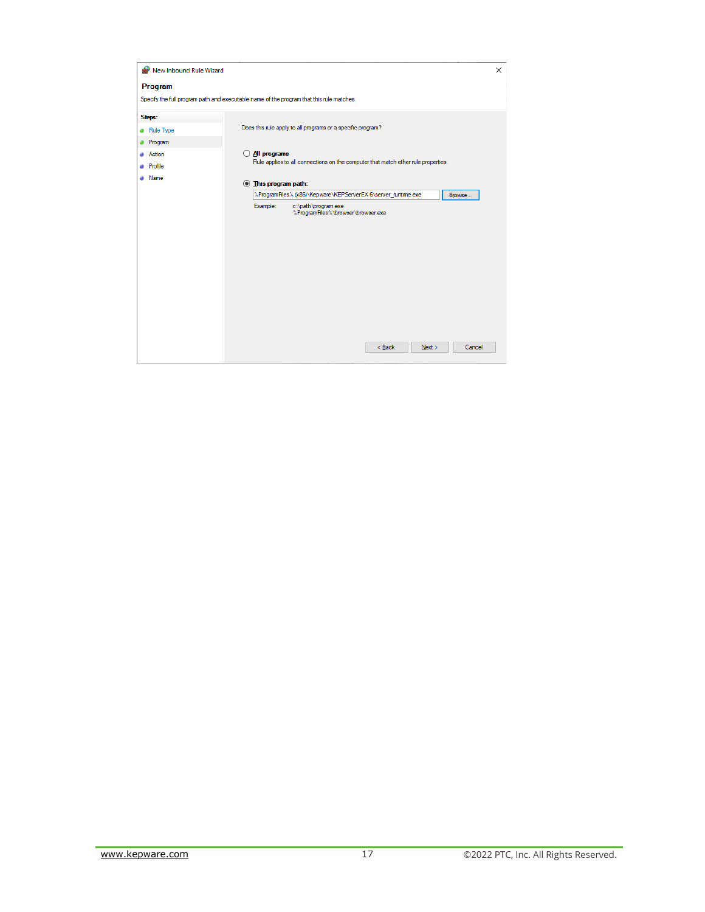| New Inbound Rule Wizard |                                                                                          | $\times$ |  |
|-------------------------|------------------------------------------------------------------------------------------|----------|--|
| Program                 |                                                                                          |          |  |
|                         | Specify the full program path and executable name of the program that this rule matches. |          |  |
| Steps:                  |                                                                                          |          |  |
| <b>a</b> Rule Type      | Does this rule apply to all programs or a specific program?                              |          |  |
| Program                 |                                                                                          |          |  |
| <b>Action</b>           | $\bigcirc$ All programs                                                                  |          |  |
| Profile                 | Rule applies to all connections on the computer that match other rule properties.        |          |  |
| Name                    | <b>Ihis program path:</b>                                                                |          |  |
|                         | %ProgramFiles% (x86)\Kepware\KEPServerEX 6\server_runtime.exe<br>Browse                  |          |  |
|                         | Example:<br>c:\path\program.exe                                                          |          |  |
|                         | %ProgramFiles%\browser\browser.exe                                                       |          |  |
|                         |                                                                                          |          |  |
|                         |                                                                                          |          |  |
|                         |                                                                                          |          |  |
|                         |                                                                                          |          |  |
|                         |                                                                                          |          |  |
|                         |                                                                                          |          |  |
|                         |                                                                                          |          |  |
|                         |                                                                                          |          |  |
|                         |                                                                                          |          |  |
|                         |                                                                                          |          |  |
|                         |                                                                                          |          |  |
|                         |                                                                                          |          |  |
|                         | < Back<br>Cancel<br>Next                                                                 |          |  |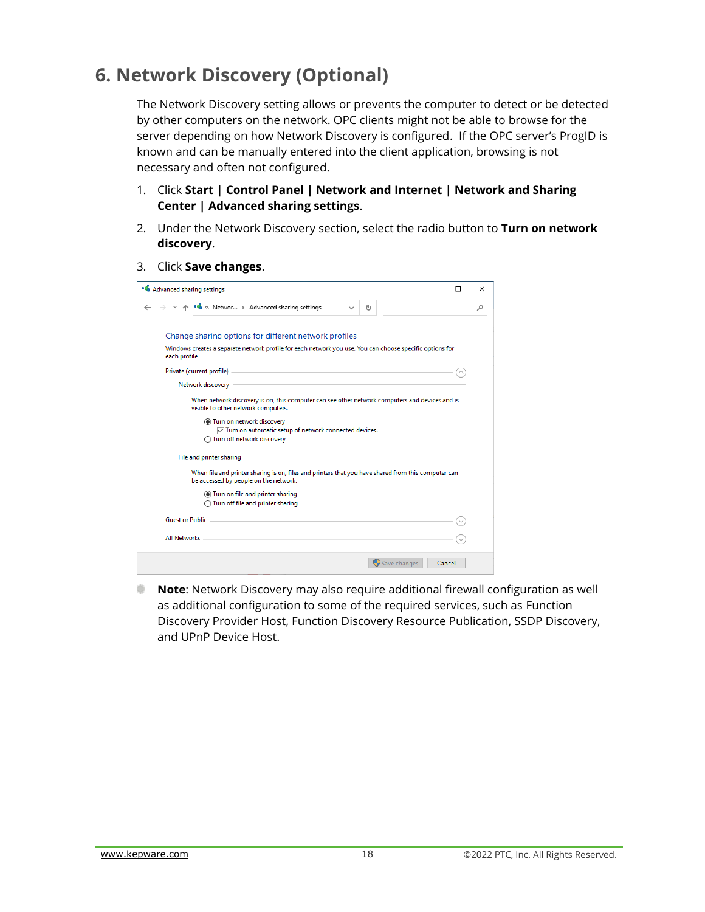## <span id="page-19-0"></span>**6. Network Discovery (Optional)**

The Network Discovery setting allows or prevents the computer to detect or be detected by other computers on the network. OPC clients might not be able to browse for the server depending on how Network Discovery is configured. If the OPC server's ProgID is known and can be manually entered into the client application, browsing is not necessary and often not configured.

- 1. Click **Start | Control Panel | Network and Internet | Network and Sharing Center | Advanced sharing settings**.
- 2. Under the Network Discovery section, select the radio button to **Turn on network discovery**.
- 3. Click **Save changes**.

| • Advanced sharing settings<br>п                                                                                                                                                                                                                                                                                                                                                                                                                                                                                                                                                                                                                                                                                                                                          |  |   |  |  |  |
|---------------------------------------------------------------------------------------------------------------------------------------------------------------------------------------------------------------------------------------------------------------------------------------------------------------------------------------------------------------------------------------------------------------------------------------------------------------------------------------------------------------------------------------------------------------------------------------------------------------------------------------------------------------------------------------------------------------------------------------------------------------------------|--|---|--|--|--|
| ↑ • << Networ > Advanced sharing settings<br>Ō                                                                                                                                                                                                                                                                                                                                                                                                                                                                                                                                                                                                                                                                                                                            |  | Ω |  |  |  |
| Change sharing options for different network profiles<br>Windows creates a separate network profile for each network you use. You can choose specific options for<br>each profile.<br>Private (current profile)<br>the control of the control of the control of the control of the control of the control of the control of the control of the control of the control of the control of the control of the control of the control of the control<br>the control of the control of the control of the control of the<br>Network discovery<br>When network discovery is on, this computer can see other network computers and devices and is<br>visible to other network computers.<br>Turn on network discovery<br>○ Turn on automatic setup of network connected devices. |  |   |  |  |  |
| ◯ Turn off network discovery<br>File and printer sharing<br>When file and printer sharing is on, files and printers that you have shared from this computer can<br>be accessed by people on the network.<br>Turn on file and printer sharing                                                                                                                                                                                                                                                                                                                                                                                                                                                                                                                              |  |   |  |  |  |
| ◯ Turn off file and printer sharing<br><b>Guest or Public</b><br><b>All Networks</b>                                                                                                                                                                                                                                                                                                                                                                                                                                                                                                                                                                                                                                                                                      |  |   |  |  |  |
| Save changes<br>Cancel                                                                                                                                                                                                                                                                                                                                                                                                                                                                                                                                                                                                                                                                                                                                                    |  |   |  |  |  |

<span id="page-19-1"></span>and a **Note**: Network Discovery may also require additional firewall configuration as well as additional configuration to some of the required services, such as Function Discovery Provider Host, Function Discovery Resource Publication, SSDP Discovery, and UPnP Device Host.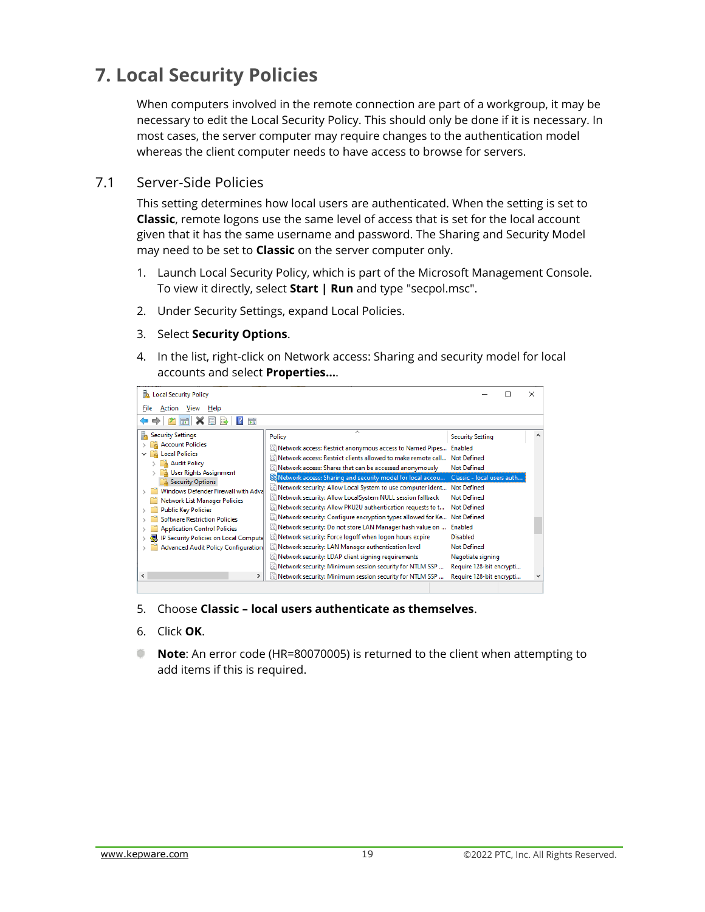## **7. Local Security Policies**

When computers involved in the remote connection are part of a workgroup, it may be necessary to edit the Local Security Policy. This should only be done if it is necessary. In most cases, the server computer may require changes to the authentication model whereas the client computer needs to have access to browse for servers.

#### <span id="page-20-0"></span>7.1 Server-Side Policies

This setting determines how local users are authenticated. When the setting is set to **Classic**, remote logons use the same level of access that is set for the local account given that it has the same username and password. The Sharing and Security Model may need to be set to **Classic** on the server computer only.

- 1. Launch Local Security Policy, which is part of the Microsoft Management Console. To view it directly, select **Start | Run** and type "secpol.msc".
- 2. Under Security Settings, expand Local Policies.
- 3. Select **Security Options**.
- 4. In the list, right-click on Network access: Sharing and security model for local accounts and select **Properties…**.



- 5. Choose **Classic – local users authenticate as themselves**.
- 6. Click **OK**.
- <span id="page-20-1"></span>**Note**: An error code (HR=80070005) is returned to the client when attempting to add items if this is required.